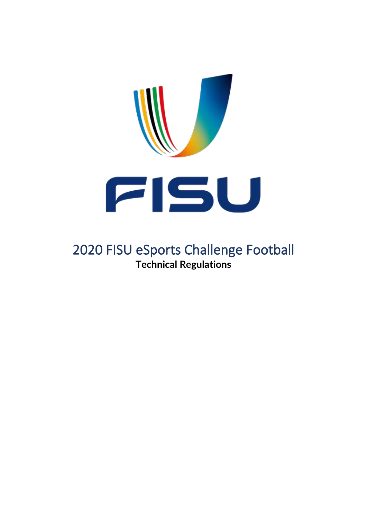

# 2020 FISU eSports Challenge Football **Technical Regulations**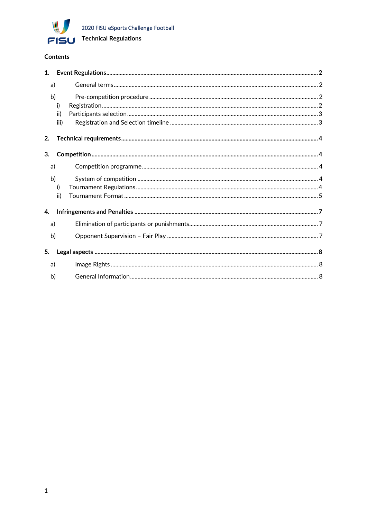

#### Contents

|    | a)   |  |  |  |
|----|------|--|--|--|
|    | b)   |  |  |  |
|    | i)   |  |  |  |
|    | ii)  |  |  |  |
|    | iii) |  |  |  |
| 2. |      |  |  |  |
| 3. |      |  |  |  |
| a) |      |  |  |  |
|    | b)   |  |  |  |
|    | i)   |  |  |  |
|    | ii)  |  |  |  |
| 4. |      |  |  |  |
|    | a)   |  |  |  |
|    | b)   |  |  |  |
| 5. |      |  |  |  |
| a) |      |  |  |  |
|    | b)   |  |  |  |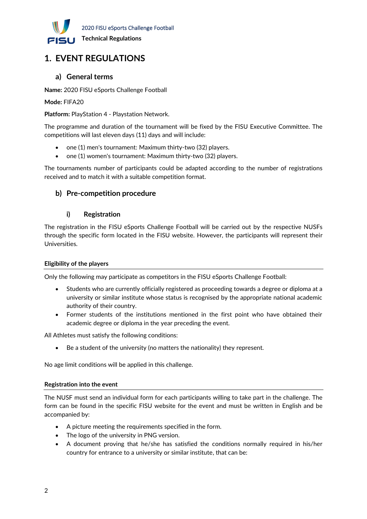

## <span id="page-2-0"></span>**1. EVENT REGULATIONS**

#### <span id="page-2-1"></span>**a) General terms**

**Name:** 2020 FISU eSports Challenge Football

**Mode:** FIFA20

**Platform:** PlayStation 4 - Playstation Network.

The programme and duration of the tournament will be fixed by the FISU Executive Committee. The competitions will last eleven days (11) days and will include:

- one (1) men's tournament: Maximum thirty-two (32) players.
- one (1) women's tournament: Maximum thirty-two (32) players.

The tournaments number of participants could be adapted according to the number of registrations received and to match it with a suitable competition format.

#### <span id="page-2-3"></span><span id="page-2-2"></span>**b) Pre-competition procedure**

#### **i) Registration**

The registration in the FISU eSports Challenge Football will be carried out by the respective NUSFs through the specific form located in the FISU website. However, the participants will represent their Universities.

#### **Eligibility of the players**

Only the following may participate as competitors in the FISU eSports Challenge Football:

- Students who are currently officially registered as proceeding towards a degree or diploma at a university or similar institute whose status is recognised by the appropriate national academic authority of their country.
- Former students of the institutions mentioned in the first point who have obtained their academic degree or diploma in the year preceding the event.

All Athletes must satisfy the following conditions:

Be a student of the university (no matters the nationality) they represent.

No age limit conditions will be applied in this challenge.

#### **Registration into the event**

The NUSF must send an individual form for each participants willing to take part in the challenge. The form can be found in the specific FISU website for the event and must be written in English and be accompanied by:

- A picture meeting the requirements specified in the form.
- The logo of the university in PNG version.
- A document proving that he/she has satisfied the conditions normally required in his/her country for entrance to a university or similar institute, that can be: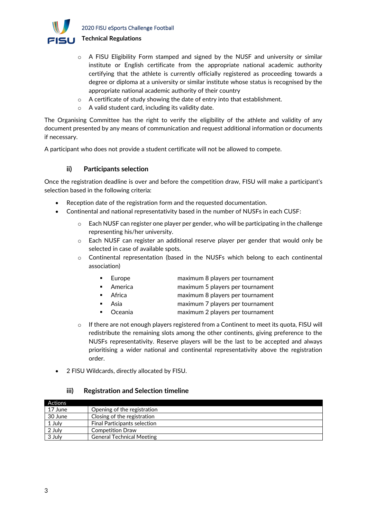

- o A FISU Eligibility Form stamped and signed by the NUSF and university or similar institute or English certificate from the appropriate national academic authority certifying that the athlete is currently officially registered as proceeding towards a degree or diploma at a university or similar institute whose status is recognised by the appropriate national academic authority of their country
- o A certificate of study showing the date of entry into that establishment.
- o A valid student card, including its validity date.

The Organising Committee has the right to verify the eligibility of the athlete and validity of any document presented by any means of communication and request additional information or documents if necessary.

<span id="page-3-0"></span>A participant who does not provide a student certificate will not be allowed to compete.

#### **ii) Participants selection**

Once the registration deadline is over and before the competition draw, FISU will make a participant's selection based in the following criteria:

- Reception date of the registration form and the requested documentation.
- Continental and national representativity based in the number of NUSFs in each CUSF:
	- $\circ$  Each NUSF can register one player per gender, who will be participating in the challenge representing his/her university.
	- o Each NUSF can register an additional reserve player per gender that would only be selected in case of available spots.
	- o Continental representation (based in the NUSFs which belong to each continental association)
		- Europe maximum 8 players per tournament
		- America maximum 5 players per tournament
		- Africa maximum 8 players per tournament
		- Asia maximum 7 players per tournament
		- Oceania maximum 2 players per tournament
	- If there are not enough players registered from a Continent to meet its quota, FISU will redistribute the remaining slots among the other continents, giving preference to the NUSFs representativity. Reserve players will be the last to be accepted and always prioritising a wider national and continental representativity above the registration order.
- <span id="page-3-1"></span>• 2 FISU Wildcards, directly allocated by FISU.

#### **iii) Registration and Selection timeline**

| <b>Actions</b> |                                     |
|----------------|-------------------------------------|
| 17 June        | Opening of the registration         |
| 30 June        | Closing of the registration         |
| 1 July         | <b>Final Participants selection</b> |
| 2 July         | <b>Competition Draw</b>             |
| 3 July         | <b>General Technical Meeting</b>    |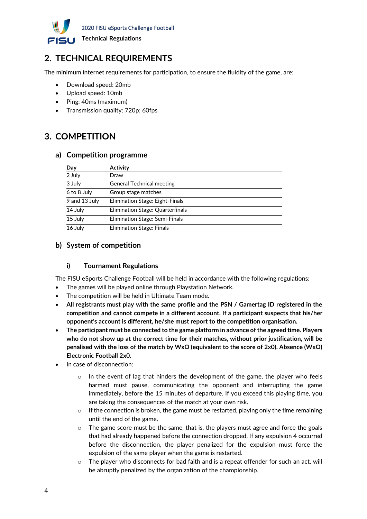

## <span id="page-4-0"></span>**2. TECHNICAL REQUIREMENTS**

The minimum internet requirements for participation, to ensure the fluidity of the game, are:

- Download speed: 20mb
- Upload speed: 10mb
- Ping: 40ms (maximum)
- Transmission quality: 720p; 60fps

### <span id="page-4-1"></span>**3. COMPETITION**

#### <span id="page-4-2"></span>**a) Competition programme**

| Day           | Activity                         |
|---------------|----------------------------------|
| 2 July        | Draw                             |
| 3 July        | <b>General Technical meeting</b> |
| 6 to 8 July   | Group stage matches              |
| 9 and 13 July | Elimination Stage: Eight-Finals  |
| 14 July       | Elimination Stage: Quarterfinals |
| 15 July       | Elimination Stage: Semi-Finals   |
| 16 July       | Elimination Stage: Finals        |

#### <span id="page-4-4"></span><span id="page-4-3"></span>**b) System of competition**

#### **i) Tournament Regulations**

The FISU eSports Challenge Football will be held in accordance with the following regulations:

- The games will be played online through Playstation Network.
- The competition will be held in Ultimate Team mode.
- **All registrants must play with the same profile and the PSN / Gamertag ID registered in the competition and cannot compete in a different account. If a participant suspects that his/her opponent's account is different, he/she must report to the competition organisation.**
- **The participant must be connected to the game platform in advance of the agreed time. Players who do not show up at the correct time for their matches, without prior justification, will be penalised with the loss of the match by WxO (equivalent to the score of 2x0). Absence (WxO) Electronic Football 2x0.**
- In case of disconnection:
	- In the event of lag that hinders the development of the game, the player who feels harmed must pause, communicating the opponent and interrupting the game immediately, before the 15 minutes of departure. If you exceed this playing time, you are taking the consequences of the match at your own risk.
	- o If the connection is broken, the game must be restarted, playing only the time remaining until the end of the game.
	- o The game score must be the same, that is, the players must agree and force the goals that had already happened before the connection dropped. If any expulsion 4 occurred before the disconnection, the player penalized for the expulsion must force the expulsion of the same player when the game is restarted.
	- $\circ$  The player who disconnects for bad faith and is a repeat offender for such an act, will be abruptly penalized by the organization of the championship.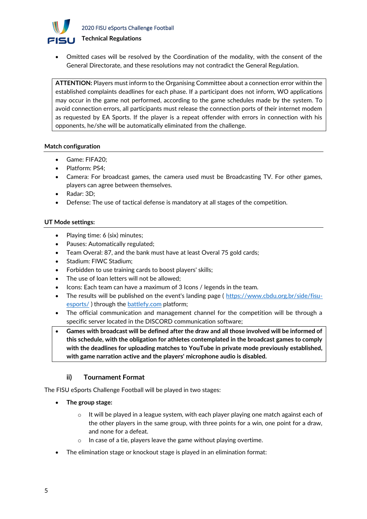

• Omitted cases will be resolved by the Coordination of the modality, with the consent of the General Directorate, and these resolutions may not contradict the General Regulation.

**ATTENTION:** Players must inform to the Organising Committee about a connection error within the established complaints deadlines for each phase. If a participant does not inform, WO applications may occur in the game not performed, according to the game schedules made by the system. To avoid connection errors, all participants must release the connection ports of their internet modem as requested by EA Sports. If the player is a repeat offender with errors in connection with his opponents, he/she will be automatically eliminated from the challenge.

#### **Match configuration**

- Game: FIFA20;
- Platform: PS4;
- Camera: For broadcast games, the camera used must be Broadcasting TV. For other games, players can agree between themselves.
- Radar: 3D;
- Defense: The use of tactical defense is mandatory at all stages of the competition.

#### **UT Mode settings:**

- Playing time: 6 (six) minutes;
- Pauses: Automatically regulated;
- Team Overal: 87, and the bank must have at least Overal 75 gold cards;
- Stadium: FIWC Stadium;
- Forbidden to use training cards to boost players' skills;
- The use of loan letters will not be allowed;
- Icons: Each team can have a maximum of 3 Icons / legends in the team.
- The results will be published on the event's landing page ( [https://www.cbdu.org.br/side/fisu](https://www.cbdu.org.br/side/fisu-esports/)[esports/](https://www.cbdu.org.br/side/fisu-esports/) ) through the [battlefy.com](http://battlefy.com/) platform;
- The official communication and management channel for the competition will be through a specific server located in the DISCORD communication software;
- **Games with broadcast will be defined after the draw and all those involved will be informed of this schedule, with the obligation for athletes contemplated in the broadcast games to comply with the deadlines for uploading matches to YouTube in private mode previously established, with game narration active and the players' microphone audio is disabled.**

#### **ii) Tournament Format**

<span id="page-5-0"></span>The FISU eSports Challenge Football will be played in two stages:

- **The group stage:**
	- $\circ$  It will be played in a league system, with each player playing one match against each of the other players in the same group, with three points for a win, one point for a draw, and none for a defeat.
	- In case of a tie, players leave the game without playing overtime.
- The elimination stage or knockout stage is played in an elimination format: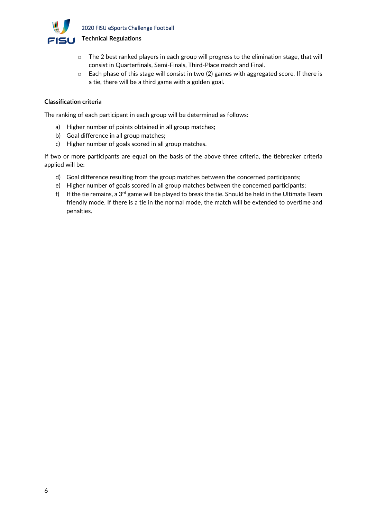

- $\circ$  The 2 best ranked players in each group will progress to the elimination stage, that will consist in Quarterfinals, Semi-Finals, Third-Place match and Final.
- $\circ$  Each phase of this stage will consist in two (2) games with aggregated score. If there is a tie, there will be a third game with a golden goal.

#### **Classification criteria**

The ranking of each participant in each group will be determined as follows:

- a) Higher number of points obtained in all group matches;
- b) Goal difference in all group matches;
- c) Higher number of goals scored in all group matches.

If two or more participants are equal on the basis of the above three criteria, the tiebreaker criteria applied will be:

- d) Goal difference resulting from the group matches between the concerned participants;
- e) Higher number of goals scored in all group matches between the concerned participants;
- f) If the tie remains, a 3<sup>rd</sup> game will be played to break the tie. Should be held in the Ultimate Team friendly mode. If there is a tie in the normal mode, the match will be extended to overtime and penalties.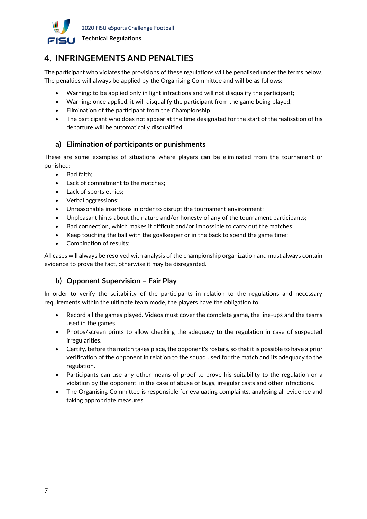

### <span id="page-7-0"></span>**4. INFRINGEMENTS AND PENALTIES**

The participant who violates the provisions of these regulations will be penalised under the terms below. The penalties will always be applied by the Organising Committee and will be as follows:

- Warning: to be applied only in light infractions and will not disqualify the participant;
- Warning: once applied, it will disqualify the participant from the game being played;
- Elimination of the participant from the Championship.
- The participant who does not appear at the time designated for the start of the realisation of his departure will be automatically disqualified.

#### <span id="page-7-1"></span>**a) Elimination of participants or punishments**

These are some examples of situations where players can be eliminated from the tournament or punished:

- Bad faith;
- Lack of commitment to the matches;
- Lack of sports ethics;
- Verbal aggressions;
- Unreasonable insertions in order to disrupt the tournament environment;
- Unpleasant hints about the nature and/or honesty of any of the tournament participants;
- Bad connection, which makes it difficult and/or impossible to carry out the matches;
- Keep touching the ball with the goalkeeper or in the back to spend the game time;
- Combination of results;

All cases will always be resolved with analysis of the championship organization and must always contain evidence to prove the fact, otherwise it may be disregarded.

#### <span id="page-7-2"></span>**b) Opponent Supervision – Fair Play**

In order to verify the suitability of the participants in relation to the regulations and necessary requirements within the ultimate team mode, the players have the obligation to:

- Record all the games played. Videos must cover the complete game, the line-ups and the teams used in the games.
- Photos/screen prints to allow checking the adequacy to the regulation in case of suspected irregularities.
- Certify, before the match takes place, the opponent's rosters, so that it is possible to have a prior verification of the opponent in relation to the squad used for the match and its adequacy to the regulation.
- Participants can use any other means of proof to prove his suitability to the regulation or a violation by the opponent, in the case of abuse of bugs, irregular casts and other infractions.
- The Organising Committee is responsible for evaluating complaints, analysing all evidence and taking appropriate measures.